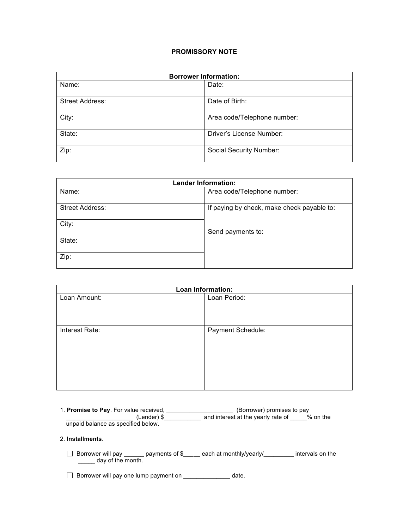## **PROMISSORY NOTE**

| <b>Borrower Information:</b> |                             |  |  |
|------------------------------|-----------------------------|--|--|
| Name:                        | Date:                       |  |  |
| <b>Street Address:</b>       | Date of Birth:              |  |  |
| City:                        | Area code/Telephone number: |  |  |
| State:                       | Driver's License Number:    |  |  |
| Zip:                         | Social Security Number:     |  |  |

| Lender Information:    |                                            |  |  |  |
|------------------------|--------------------------------------------|--|--|--|
| Name:                  | Area code/Telephone number:                |  |  |  |
| <b>Street Address:</b> | If paying by check, make check payable to: |  |  |  |
| City:                  | Send payments to:                          |  |  |  |
| State:                 |                                            |  |  |  |
| Zip:                   |                                            |  |  |  |

| <b>Loan Information:</b> |                   |  |  |
|--------------------------|-------------------|--|--|
| Loan Amount:             | Loan Period:      |  |  |
|                          |                   |  |  |
|                          |                   |  |  |
| Interest Rate:           | Payment Schedule: |  |  |
|                          |                   |  |  |
|                          |                   |  |  |
|                          |                   |  |  |
|                          |                   |  |  |
|                          |                   |  |  |

1. **Promise to Pay**. For value received, \_\_\_\_\_\_\_\_\_\_\_\_\_\_\_\_\_\_\_\_ (Borrower) promises to pay \_\_\_\_\_\_\_\_\_\_\_\_\_\_\_\_\_\_\_\_ (Lender) \$\_\_\_\_\_\_\_\_\_\_\_ and interest at the yearly rate of \_\_\_\_\_% on the unpaid balance as specified below.

## 2. **Installments**.

 Borrower will pay \_\_\_\_\_\_ payments of \$\_\_*\_*\_\_ each at monthly/yearly/\_\_\_\_\_\_\_\_\_ intervals on the \_\_\_\_\_ day of the month.

Borrower will pay one lump payment on \_\_\_\_\_\_\_\_\_\_\_\_\_\_ date.